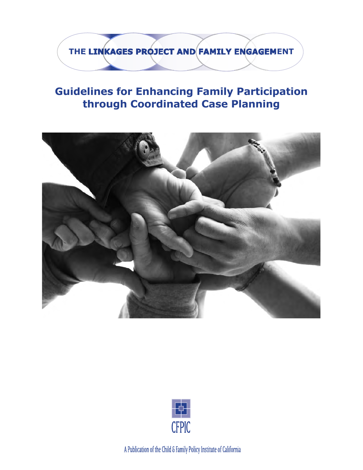**THE LINKAGES PROJECT AND FAMILY ENGAGEMENT** 

## **Guidelines for Enhancing Family Participation through Coordinated Case Planning**





A Publication of the Child & Family Policy Institute of California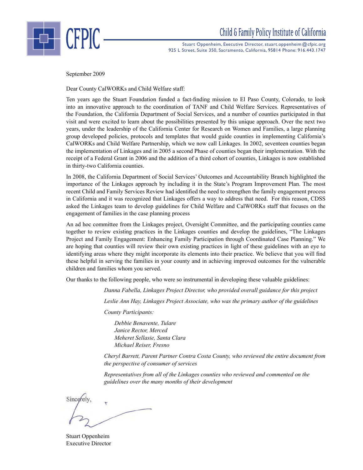

Stuart Oppenheim, Executive Director, stuart.oppenheim @cfpic.org 925 L Street, Suite 350, Sacramento, California, 95814 Phone: 916.443.1747

September 2009

Dear County CalWORKs and Child Welfare staff:

Ten years ago the Stuart Foundation funded a fact-finding mission to El Paso County, Colorado, to look into an innovative approach to the coordination of TANF and Child Welfare Services. Representatives of the Foundation, the California Department of Social Services, and a number of counties participated in that visit and were excited to learn about the possibilities presented by this unique approach. Over the next two years, under the leadership of the California Center for Research on Women and Families, a large planning group developed policies, protocols and templates that would guide counties in implementing California's CalWORKs and Child Welfare Partnership, which we now call Linkages. In 2002, seventeen counties began the implementation of Linkages and in 2005 a second Phase of counties began their implementation. With the receipt of a Federal Grant in 2006 and the addition of a third cohort of counties, Linkages is now established in thirty-two California counties.

In 2008, the California Department of Social Services' Outcomes and Accountability Branch highlighted the importance of the Linkages approach by including it in the State's Program Improvement Plan. The most recent Child and Family Services Review had identified the need to strengthen the family engagement process in California and it was recognized that Linkages offers a way to address that need. For this reason, CDSS asked the Linkages team to develop guidelines for Child Welfare and CalWORKs staff that focuses on the engagement of families in the case planning process

An ad hoc committee from the Linkages project, Oversight Committee, and the participating counties came together to review existing practices in the Linkages counties and develop the guidelines, "The Linkages Project and Family Engagement: Enhancing Family Participation through Coordinated Case Planning." We are hoping that counties will review their own existing practices in light of these guidelines with an eye to identifying areas where they might incorporate its elements into their practice. We believe that you will find these helpful in serving the families in your county and in achieving improved outcomes for the vulnerable children and families whom you served.

Our thanks to the following people, who were so instrumental in developing these valuable guidelines:

*Danna Fabella, Linkages Project Director, who provided overall guidance for this project*

*Leslie Ann Hay, Linkages Project Associate, who was the primary author of the guidelines*

*County Participants:*

 *Debbie Benavente, Tulare Janice Rector, Merced Meheret Sellasie, Santa Clara Michael Reiser, Fresno*

*Cheryl Barrett, Parent Partner Contra Costa County, who reviewed the entire document from the perspective of consumer of services*

*Representatives from all of the Linkages counties who reviewed and commented on the guidelines over the many months of their development*

Since

Stuart Oppenheim Executive Director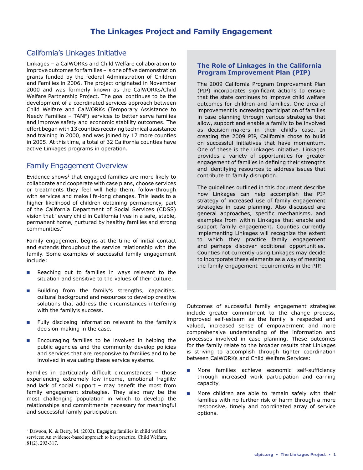## California's Linkages Initiative

Linkages – a CalWORKs and Child Welfare collaboration to improve outcomes for families – is one of five demonstration grants funded by the federal Administration of Children and Families in 2006. The project originated in November 2000 and was formerly known as the CalWORKs/Child Welfare Partnership Project. The goal continues to be the development of a coordinated services approach between Child Welfare and CalWORKs (Temporary Assistance to Needy Families – TANF) services to better serve families and improve safety and economic stability outcomes. The effort began with 13 counties receiving technical assistance and training in 2000, and was joined by 17 more counties in 2005. At this time, a total of 32 California counties have active Linkages programs in operation.

## Family Engagement Overview

Evidence shows<sup>1</sup> that engaged families are more likely to collaborate and cooperate with case plans, choose services or treatments they feel will help them, follow-through with services and make life-long changes. This leads to a higher likelihood of children obtaining permanency, part of the California Department of Social Services (CDSS) vision that "every child in California lives in a safe, stable, permanent home, nurtured by healthy families and strong communities."

Family engagement begins at the time of initial contact and extends throughout the service relationship with the family. Some examples of successful family engagement include:

- **n** Reaching out to families in ways relevant to the situation and sensitive to the values of their culture.
- **n** Building from the family's strengths, capacities, cultural background and resources to develop creative solutions that address the circumstances interfering with the family's success.
- **n** Fully disclosing information relevant to the family's decision-making in the case.
- **n** Encouraging families to be involved in helping the public agencies and the community develop policies and services that are responsive to families and to be involved in evaluating these service systems.

Families in particularly difficult circumstances – those experiencing extremely low income, emotional fragility and lack of social support – may benefit the most from family engagement strategies. They also may be the most challenging population in which to develop the relationships and commitments necessary for meaningful and successful family participation.

## **The Role of Linkages in the California Program Improvement Plan (PIP)**

The 2009 California Program Improvement Plan (PIP) incorporates significant actions to ensure that the state continues to improve child welfare outcomes for children and families. One area of improvement is increasing participation of families in case planning through various strategies that allow, support and enable a family to be involved as decision-makers in their child's case. In creating the 2009 PIP, California chose to build on successful initiatives that have momentum. One of these is the Linkages initiative. Linkages provides a variety of opportunities for greater engagement of families in defining their strengths and identifying resources to address issues that contribute to family disruption.

The guidelines outlined in this document describe how Linkages can help accomplish the PIP strategy of increased use of family engagement strategies in case planning. Also discussed are general approaches, specific mechanisms, and examples from within Linkages that enable and support family engagement. Counties currently implementing Linkages will recognize the extent to which they practice family engagement and perhaps discover additional opportunities. Counties not currently using Linkages may decide to incorporate these elements as a way of meeting the family engagement requirements in the PIP.

Outcomes of successful family engagement strategies include greater commitment to the change process, improved self-esteem as the family is respected and valued, increased sense of empowerment and more comprehensive understanding of the information and processes involved in case planning. These outcomes for the family relate to the broader results that Linkages is striving to accomplish through tighter coordination between CalWORKs and Child Welfare Services:

- **n** More families achieve economic self-sufficiency through increased work participation and earning capacity.
- **n** More children are able to remain safely with their families with no further risk of harm through a more responsive, timely and coordinated array of service options.

 $1$  Dawson, K. & Berry, M. (2002). Engaging families in child welfare services: An evidence-based approach to best practice. Child Welfare, 81(2), 293-317.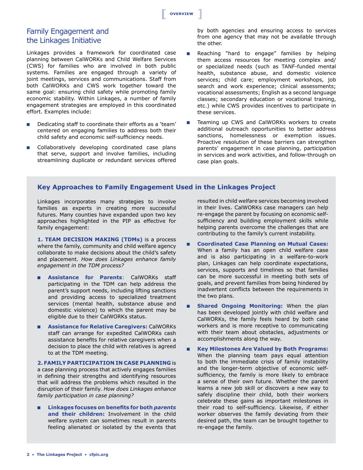## **[ Overview [**

## Family Engagement and the Linkages Initiative

Linkages provides a framework for coordinated case planning between CalWORKs and Child Welfare Services (CWS) for families who are involved in both public systems. Families are engaged through a variety of joint meetings, services and communications. Staff from both CalWORKs and CWS work together toward the same goal: ensuring child safety while promoting family economic stability. Within Linkages, a number of family engagement strategies are employed in this coordinated effort. Examples include:

- Dedicating staff to coordinate their efforts as a 'team' centered on engaging families to address both their child safety and economic self-sufficiency needs.
- **n** Collaboratively developing coordinated case plans that serve, support and involve families, including streamlining duplicate or redundant services offered

by both agencies and ensuring access to services from one agency that may not be available through the other.

- **n** Reaching "hard to engage" families by helping them access resources for meeting complex and/ or specialized needs (such as TANF-funded mental health, substance abuse, and domestic violence services; child care; employment workshops, job search and work experience; clinical assessments; vocational assessments; English as a second language classes; secondary education or vocational training, etc.) while CWS provides incentives to participate in these services.
- Teaming up CWS and CalWORKs workers to create additional outreach opportunities to better address sanctions, homelessness or exemption issues. Proactive resolution of these barriers can strengthen parents' engagement in case planning, participation in services and work activities, and follow-through on case plan goals.

## **Key Approaches to Family Engagement Used in the Linkages Project**

Linkages incorporates many strategies to involve families as experts in creating more successful futures. Many counties have expanded upon two key approaches highlighted in the PIP as effective for family engagement:

**1. TEAM DECISIOn MAKIng (TDMs)** is a process where the family, community and child welfare agency collaborate to make decisions about the child's safety and placement. *How does Linkages enhance family engagement in the TDM process?*

- n **Assistance for Parents**: CalWORKs staff participating in the TDM can help address the parent's support needs, including lifting sanctions and providing access to specialized treatment services (mental health, substance abuse and domestic violence) to which the parent may be eligible due to their CalWORKs status.
- n **Assistance for Relative Caregivers:** CalWORKs staff can arrange for expedited CalWORKs cash assistance benefits for relative caregivers when a decision to place the child with relatives is agreed to at the TDM meeting.

**2. FAMILy PARTICIPATIOn In CASE PLAnnIng** is a case planning process that actively engages families in defining their strengths and identifying resources that will address the problems which resulted in the disruption of their family. *How does Linkages enhance family participation in case planning?*

n **Linkages focuses on benefits for both** *parents* **and their children:** Involvement in the child welfare system can sometimes result in parents feeling alienated or isolated by the events that resulted in child welfare services becoming involved in their lives. CalWORKs case managers can help re-engage the parent by focusing on economic selfsufficiency and building employment skills while helping parents overcome the challenges that are contributing to the family's current instability.

- n **Coordinated Case Planning on Mutual Cases:** When a family has an open child welfare case and is also participating in a welfare-to-work plan, Linkages can help coordinate expectations, services, supports and timelines so that families can be more successful in meeting both sets of goals, and prevent families from being hindered by inadvertent conflicts between the requirements in the two plans.
- Shared Ongoing Monitoring: When the plan has been developed jointly with child welfare and CalWORKs, the family feels heard by both case workers and is more receptive to communicating with their team about obstacles, adjustments or accomplishments along the way.
- n **Key Milestones Are Valued by Both Programs:** When the planning team pays equal attention to both the immediate crisis of family instability and the longer-term objective of economic selfsufficiency, the family is more likely to embrace a sense of their own future. Whether the parent learns a new job skill or discovers a new way to safely discipline their child, both their workers celebrate these gains as important milestones in their road to self-sufficiency. Likewise, if either worker observes the family deviating from their desired path, the team can be brought together to re-engage the family.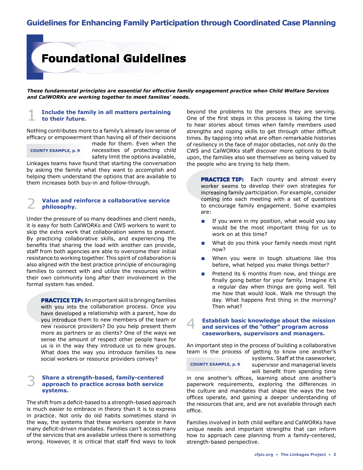# **Foundational Guidelines**

*These fundamental principles are essential for effective family engagement practice when Child Welfare Services and CalWORKs are working together to meet families' needs.*

## 1 **Include the family in all matters pertaining to their future.**

Nothing contributes more to a family's already low sense of efficacy or empowerment than having all of their decisions

## **COUnTy ExAMPLE, p. 9**

made for them. Even when the necessities of protecting child safety limit the options available,

Linkages teams have found that starting the conversation by asking the family what they want to accomplish and helping them understand the options that are available to them increases both buy-in and follow-through.

## 2 **Value and reinforce a collaborative service philosophy.**

Under the pressure of so many deadlines and client needs, it is easy for both CalWORKs and CWS workers to want to skip the extra work that collaboration seems to present. By practicing collaborative skills, and experiencing the benefits that sharing the load with another can provide, staff from both agencies are able to overcome their initial resistance to working together. This spirit of collaboration is also aligned with the best practice principle of encouraging families to connect with and utilize the resources within their own community long after their involvement in the formal system has ended.

**PRACTICE TIP:** An important skill is bringing families with you into the collaboration process. Once you have developed a relationship with a parent, how do you introduce them to new members of the team or new resource providers? Do you help present them more as partners or as clients? One of the ways we sense the amount of respect other people have for us is in the way they introduce us to new groups. What does the way you introduce families to new social workers or resource providers convey?

## 3 **Share a strength-based, family-centered approach to practice across both service systems.**

The shift from a deficit-based to a strength-based approach is much easier to embrace in theory than it is to express in practice. Not only do old habits sometimes stand in the way, the systems that these workers operate in have many deficit-driven mandates. Families can't access many of the services that are available unless there is something wrong. However, it is critical that staff find ways to look beyond the problems to the persons they are serving. One of the first steps in this process is taking the time to hear stories about times when family members used strengths and coping skills to get through other difficult times. By tapping into what are often remarkable histories of resiliency in the face of major obstacles, not only do the CWS and CalWORKs staff discover more options to build upon, the families also see themselves as being valued by the people who are trying to help them.

**PRACTICE TIP:** Each county and almost every worker seems to develop their own strategies for increasing family participation. For example, consider coming into each meeting with a set of questions to encourage family engagement. Some examples are:

- $\blacksquare$  If you were in my position, what would you say would be the most important thing for us to work on at this time?
- $\blacksquare$  What do you think your family needs most right now?
- When you were in tough situations like this before, what helped you make things better?
- Pretend its 6 months from now, and things are finally going better for your family. Imagine it's a regular day when things are going well. Tell me how that would look. Walk me through the day. What happens first thing in the morning? Then what?

## 4 **Establish basic knowledge about the mission and services of the "other" program across caseworkers, supervisors and managers.**

An important step in the process of building a collaborative team is the process of getting to know one another's

 **COUnTy ExAMPLE, p. 9**

systems. Staff at the caseworker, supervisor and managerial levels will benefit from spending time

in one another's offices, learning about one another's paperwork requirements, exploring the differences in the culture and mandates that shape the ways the two offices operate, and gaining a deeper understanding of the resources that are, and are not available through each office.

Families involved in both child welfare and CalWORKs have unique needs and important strengths that can inform how to approach case planning from a family-centered, strength-based perspective.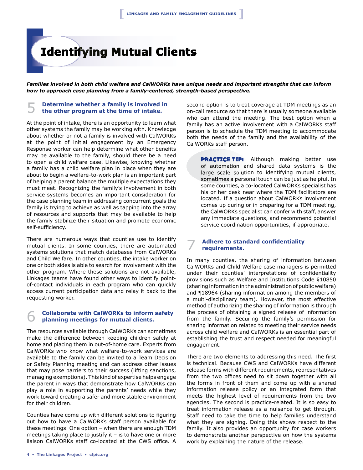# **Identifying Mutual Clients**

*Families involved in both child welfare and CalWORKs have unique needs and important strengths that can inform how to approach case planning from a family-centered, strength-based perspective.*

## 5 **Determine whether a family is involved in the other program at the time of intake.**

At the point of intake, there is an opportunity to learn what other systems the family may be working with. Knowledge about whether or not a family is involved with CalWORKs at the point of initial engagement by an Emergency Response worker can help determine what other benefits may be available to the family, should there be a need to open a child welfare case. Likewise, knowing whether a family has a child welfare plan in place when they are about to begin a welfare-to-work plan is an important part of helping a parent balance the multiple expectations they must meet. Recognizing the family's involvement in both service systems becomes an important consideration for the case planning team in addressing concurrent goals the family is trying to achieve as well as tapping into the array of resources and supports that may be available to help the family stabilize their situation and promote economic self-sufficiency.

There are numerous ways that counties use to identify mutual clients. In some counties, there are automated systems solutions that match databases from CalWORKs and Child Welfare. In other counties, the intake worker on one or both sides is able to search for involvement with the other program. Where these solutions are not available, Linkages teams have found other ways to identify pointof-contact individuals in each program who can quickly access current participation data and relay it back to the requesting worker.

## 6 **Collaborate with CalWORKs to inform safety planning meetings for mutual clients.**

The resources available through CalWORKs can sometimes make the difference between keeping children safely at home and placing them in out-of-home care. Experts from CalWORKs who know what welfare-to-work services are available to the family can be invited to a Team Decision or Safety Planning meeting and can address other issues that may pose barriers to their success (lifting sanctions, managing exemptions). This kind of expertise helps engage the parent in ways that demonstrate how CalWORKs can play a role in supporting the parents' needs while they work toward creating a safer and more stable environment for their children.

Counties have come up with different solutions to figuring out how to have a CalWORKs staff person available for these meetings. One option – when there are enough TDM meetings taking place to justify it  $-$  is to have one or more liaison CalWORKs staff co-located at the CWS office. A

second option is to treat coverage at TDM meetings as an on-call resource so that there is usually someone available who can attend the meeting. The best option when a family has an active involvement with a CalWORKs staff person is to schedule the TDM meeting to accommodate both the needs of the family and the availability of the CalWORKs staff person.

**PRACTICE TIP:** Although making better use of automation and shared data systems is the large scale solution to identifying mutual clients, sometimes a personal touch can be just as helpful. In some counties, a co-located CalWORKs specialist has his or her desk near where the TDM facilitators are located. If a question about CalWORKs involvement comes up during or in preparing for a TDM meeting, the CalWORKs specialist can confer with staff, answer any immediate questions, and recommend potential service coordination opportunities, if appropriate.

## 7 **Adhere to standard confidentiality requirements.**

In many counties, the sharing of information between CalWORKs and Child Welfare case managers is permitted under their counties' interpretations of confidentiality provisions such as Welfare and Institutions Code §10850 (sharing information in the administration of public welfare) and ¶18964 (sharing information among the members of a multi-disciplinary team). However, the most effective method of authorizing the sharing of information is through the process of obtaining a signed release of information from the family. Securing the family's permission for sharing information related to meeting their service needs across child welfare and CalWORKs is an essential part of establishing the trust and respect needed for meaningful engagement.

There are two elements to addressing this need. The first is technical. Because CWS and CalWORKs have different release forms with different requirements, representatives from the two offices need to sit down together with all the forms in front of them and come up with a shared information release policy or an integrated form that meets the highest level of requirements from the two agencies. The second is practice-related. It is so easy to treat information release as a nuisance to get through. Staff need to take the time to help families understand what they are signing. Doing this shows respect to the family. It also provides an opportunity for case workers to demonstrate another perspective on how the systems work by explaining the nature of the release.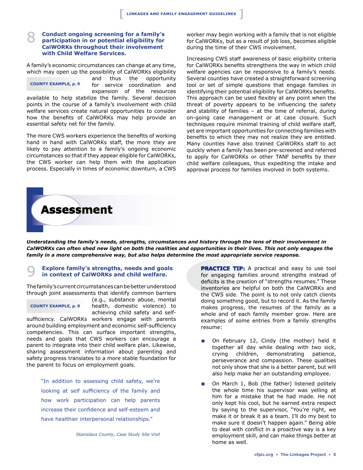## 8 **Conduct ongoing screening for a family's participation in or potential eligibility for CalWORKs throughout their involvement with Child Welfare Services.**

A family's economic circumstances can change at any time, which may open up the possibility of CalWORKs eligibility

 **COUnTy ExAMPLE, p. 9**

and thus the opportunity for service coordination and expansion of the resources

available to help stabilize the family. Several decision points in the course of a family's involvement with child welfare services create natural opportunities to consider how the benefits of CalWORKs may help provide an essential safety net for the family.

The more CWS workers experience the benefits of working hand in hand with CalWORKs staff, the more they are likely to pay attention to a family's ongoing economic circumstances so that if they appear eligible for CalWORKs, the CWS worker can help them with the application process. Especially in times of economic downturn, a CWS

**Assessment** 

worker may begin working with a family that is not eligible for CalWORKs, but as a result of job loss, becomes eligible during the time of their CWS involvement.

Increasing CWS staff awareness of basic eligibility criteria for CalWORKs benefits strengthens the way in which child welfare agencies can be responsive to a family's needs. Several counties have created a straightforward screening tool or set of simple questions that engage families in identifying their potential eligibility for CalWORKs benefits. This approach can be used flexibly at any point when the threat of poverty appears to be influencing the safety and stability of families – at the time of referral, during on-going case management or at case closure. Such techniques require minimal training of child welfare staff, yet are important opportunities for connecting families with benefits to which they may not realize they are entitled. Many counties have also trained CalWORKs staff to act quickly when a family has been pre-screened and referred to apply for CalWORKs or other TANF benefits by their child welfare colleagues, thus expediting the intake and approval process for families involved in both systems.

*Understanding the family's needs, strengths, circumstances and history through the lens of their involvement in CalWORKs can often shed new light on both the realities and opportunities in their lives. This not only engages the family in a more comprehensive way, but also helps determine the most appropriate service response.*

## 9 **Explore family's strengths, needs and goals in context of CalWORKs and child welfare.**

The family's current circumstances can be better understood through joint assessments that identify common barriers

## **COUnTy ExAMPLE, p. 9**

(e.g., substance abuse, mental health, domestic violence) to achieving child safety and self-

sufficiency. CalWORKs workers engage with parents around building employment and economic self-sufficiency competencies. This can surface important strengths, needs and goals that CWS workers can encourage a parent to integrate into their child welfare plan. Likewise, sharing assessment information about parenting and safety progress translates to a more stable foundation for the parent to focus on employment goals.

"In addition to assessing child safety, we're looking at self sufficiency of the family and how work participation can help parents increase their confidence and self-esteem and have healthier interpersonal relationships."

*Stanislaus County, Case Study Site Visit*

**PRACTICE TIP:** A practical and easy to use tool for engaging families around strengths instead of deficits is the creation of "strengths resumes." These inventories are helpful on both the CalWORKs and the CWS side. The point is to not only catch clients doing something good, but to record it. As the family makes progress, the resumes of the family as a whole and of each family member grow. Here are examples of some entries from a family strengths resume:

- On February 12, Cindy (the mother) held it together all day while dealing with two sick, crying children, demonstrating patience, perseverance and compassion. These qualities not only show that she is a better parent, but will also help make her an outstanding employee.
- On March 1, Bob (the father) listened politely the whole time his supervisor was yelling at him for a mistake that he had made. He not only kept his cool, but he earned extra respect by saying to the supervisor, "You're right, we make it or break it as a team. I'll do my best to make sure it doesn't happen again." Being able to deal with conflict in a proactive way is a key employment skill, and can make things better at home as well.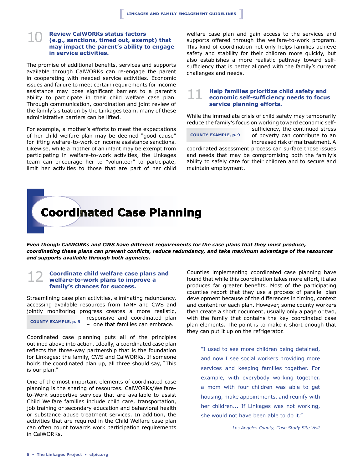## 10 **Review CalWORKs status factors (e.g., sanctions, timed out, exempt) that may impact the parent's ability to engage in service activities.**

The promise of additional benefits, services and supports available through CalWORKs can re-engage the parent in cooperating with needed service activities. Economic issues and failure to meet certain requirements for income assistance may pose significant barriers to a parent's ability to participate in their child welfare case plan. Through communication, coordination and joint review of the family's situation by the Linkages team, many of these administrative barriers can be lifted.

For example, a mother's efforts to meet the expectations of her child welfare plan may be deemed "good cause" for lifting welfare-to-work or income assistance sanctions. Likewise, while a mother of an infant may be exempt from participating in welfare-to-work activities, the Linkages team can encourage her to "volunteer" to participate, limit her activities to those that are part of her child welfare case plan and gain access to the services and supports offered through the welfare-to-work program. This kind of coordination not only helps families achieve safety and stability for their children more quickly, but also establishes a more realistic pathway toward selfsufficiency that is better aligned with the family's current challenges and needs.

## 11 **Help families prioritize child safety and economic self-sufficiency needs to focus service planning efforts.**

While the immediate crisis of child safety may temporarily reduce the family's focus on working toward economic self-

 **COUnTy ExAMPLE, p. 9**

sufficiency, the continued stress of poverty can contribute to an increased risk of maltreatment. A

coordinated assessment process can surface those issues and needs that may be compromising both the family's ability to safely care for their children and to secure and maintain employment.

# **Coordinated Case Planning**

*Even though CalWORKs and CWS have different requirements for the case plans that they must produce, coordinating these plans can prevent conflicts, reduce redundancy, and take maximum advantage of the resources and supports available through both agencies.* 

## 12 **Coordinate child welfare case plans and welfare-to-work plans to improve a family's chances for success.**

Streamlining case plan activities, eliminating redundancy, accessing available resources from TANF and CWS and jointly monitoring progress creates a more realistic, responsive and coordinated plan – one that families can embrace.  **COUnTy ExAMPLE, p. 9**

Coordinated case planning puts all of the principles outlined above into action. Ideally, a coordinated case plan reflects the three-way partnership that is the foundation for Linkages: the family, CWS and CalWORKs. If someone holds the coordinated plan up, all three should say, "This is our plan."

One of the most important elements of coordinated case planning is the sharing of resources. CalWORKs/Welfareto-Work supportive services that are available to assist Child Welfare families include child care, transportation, job training or secondary education and behavioral health or substance abuse treatment services. In addition, the activities that are required in the Child Welfare case plan can often count towards work participation requirements in CalWORKs.

Counties implementing coordinated case planning have found that while this coordination takes more effort, it also produces far greater benefits. Most of the participating counties report that they use a process of parallel plan development because of the differences in timing, context and content for each plan. However, some county workers then create a short document, usually only a page or two, with the family that contains the key coordinated case plan elements. The point is to make it short enough that they can put it up on the refrigerator.

"I used to see more children being detained, and now I see social workers providing more services and keeping families together. For example, with everybody working together, a mom with four children was able to get housing, make appointments, and reunify with her children... If Linkages was not working, she would not have been able to do it."

*Los Angeles County, Case Study Site Visit*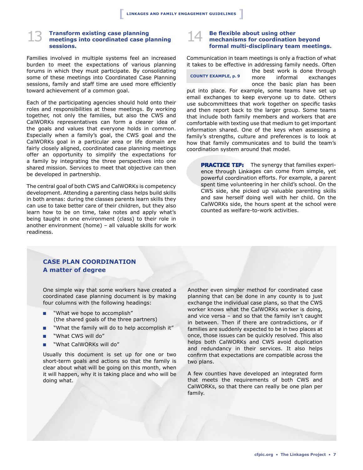## 13 **Transform existing case planning meetings into coordinated case planning sessions.**

Families involved in multiple systems feel an increased burden to meet the expectations of various planning forums in which they must participate. By consolidating some of these meetings into Coordinated Case Planning sessions, family and staff time are used more efficiently toward achievement of a common goal.

Each of the participating agencies should hold onto their roles and responsibilities at these meetings. By working together, not only the families, but also the CWS and CalWORKs representatives can form a clearer idea of the goals and values that everyone holds in common. Especially when a family's goal, the CWS goal and the CalWORKs goal in a particular area or life domain are fairly closely aligned, coordinated case planning meetings offer an opportunity to simplify the expectations for a family by integrating the three perspectives into one shared mission. Services to meet that objective can then be developed in partnership.

The central goal of both CWS and CalWORKs is competency development. Attending a parenting class helps build skills in both arenas: during the classes parents learn skills they can use to take better care of their children, but they also learn how to be on time, take notes and apply what's being taught in one environment (class) to their role in another environment (home) – all valuable skills for work readiness.

## 14 **Be flexible about using other mechanisms for coordination beyond formal multi-disciplinary team meetings.**

Communication in team meetings is only a fraction of what it takes to be effective in addressing family needs. Often

 **COUnTy ExAMPLE, p. 9**

the best work is done through more informal exchanges once the basic plan has been

put into place. For example, some teams have set up email exchanges to keep everyone up to date. Others use subcommittees that work together on specific tasks and then report back to the larger group. Some teams that include both family members and workers that are comfortable with texting use that medium to get important information shared. One of the keys when assessing a family's strengths, culture and preferences is to look at how that family communicates and to build the team's coordination system around that model.

**PRACTICE TIP:** The synergy that families experience through Linkages can come from simple, yet powerful coordination efforts. For example, a parent spent time volunteering in her child's school. On the CWS side, she picked up valuable parenting skills and saw herself doing well with her child. On the CalWORKs side, the hours spent at the school were counted as welfare-to-work activities.

## **CASE PLAn COORDInATIOn A matter of degree**

One simple way that some workers have created a coordinated case planning document is by making four columns with the following headings:

- "What we hope to accomplish" (the shared goals of the three partners)
- "What the family will do to help accomplish it"
- **n** "What CWS will do"
- "What CalWORKs will do"

Usually this document is set up for one or two short-term goals and actions so that the family is clear about what will be going on this month, when it will happen, why it is taking place and who will be doing what.

Another even simpler method for coordinated case planning that can be done in any county is to just exchange the individual case plans, so that the CWS worker knows what the CalWORKs worker is doing, and vice versa – and so that the family isn't caught in between. Then if there are contradictions, or if families are suddenly expected to be in two places at once, those issues can be quickly resolved. This also helps both CalWORKs and CWS avoid duplication and redundancy in their services. It also helps confirm that expectations are compatible across the two plans.

A few counties have developed an integrated form that meets the requirements of both CWS and CalWORKs, so that there can really be one plan per family.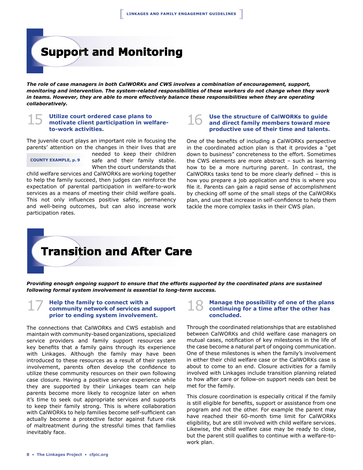# **Support and Monitoring**

*The role of case managers in both CalWORKs and CWS involves a combination of encouragement, support, monitoring and intervention. The system-related responsibilities of these workers do not change when they work in teams. However, they are able to more effectively balance these responsibilities when they are operating collaboratively.* 

## 15 **Utilize court ordered case plans to motivate client participation in welfareto-work activities.**

The juvenile court plays an important role in focusing the parents' attention on the changes in their lives that are

 **COUnTy ExAMPLE, p. 9**

needed to keep their children safe and their family stable. When the court understands that

child welfare services and CalWORKs are working together to help the family succeed, then judges can reinforce the expectation of parental participation in welfare-to-work services as a means of meeting their child welfare goals. This not only influences positive safety, permanency and well-being outcomes, but can also increase work participation rates.

## 16 **Use the structure of CalWORKs to guide and direct family members toward more productive use of their time and talents.**

One of the benefits of including a CalWORKs perspective in the coordinated action plan is that it provides a "get down to business" concreteness to the effort. Sometimes the CWS elements are more abstract – such as learning how to be a more nurturing parent. In contrast, the CalWORKs tasks tend to be more clearly defined – this is how you prepare a job application and this is where you file it. Parents can gain a rapid sense of accomplishment by checking off some of the small steps of the CalWORKs plan, and use that increase in self-confidence to help them tackle the more complex tasks in their CWS plan.

# **Transition and After Care**

*Providing enough ongoing support to ensure that the efforts supported by the coordinated plans are sustained following formal system involvement is essential to long-term success.*

## 17 **Help the family to connect with a community network of services and support prior to ending system involvement.**

The connections that CalWORKs and CWS establish and maintain with community-based organizations, specialized service providers and family support resources are key benefits that a family gains through its experience with Linkages. Although the family may have been introduced to these resources as a result of their system involvement, parents often develop the confidence to utilize these community resources on their own following case closure. Having a positive service experience while they are supported by their Linkages team can help parents become more likely to recognize later on when it's time to seek out appropriate services and supports to keep their family strong. This is where collaboration with CalWORKs to help families become self-sufficient can actually become a protective factor against future risk of maltreatment during the stressful times that families inevitably face.

## **Manage the possibility of one of the plans continuing for a time after the other has concluded.**

Through the coordinated relationships that are established between CalWORKs and child welfare case managers on mutual cases, notification of key milestones in the life of the case become a natural part of ongoing communication. One of these milestones is when the family's involvement in either their child welfare case or the CalWORKs case is about to come to an end. Closure activities for a family involved with Linkages include transition planning related to how after care or follow-on support needs can best be met for the family.

This closure coordination is especially critical if the family is still eligible for benefits, support or assistance from one program and not the other. For example the parent may have reached their 60-month time limit for CalWORKs eligibility, but are still involved with child welfare services. Likewise, the child welfare case may be ready to close, but the parent still qualifies to continue with a welfare-towork plan.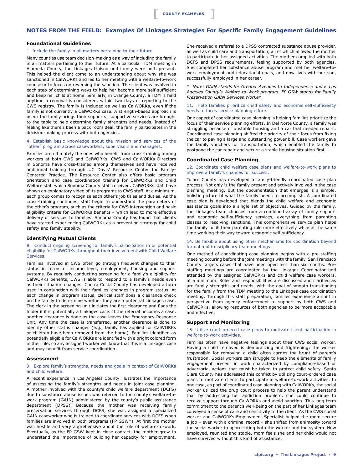**[**

## **nOTES FROM THE FIELD: Examples Of Linkages Strategies For Specific Family Engagement Guidelines**

## **Foundational guidelines**

#### 1. Include the family in all matters pertaining to their future.

Many counties use team decision-making as a way of including the family in all matters pertaining to their future. At a particular TDM meeting in Alameda County, the Linkages Liaison and family were both present. This helped the client come to an understanding about why she was sanctioned in CalWORKs and led to her meeting with a welfare-to-work counselor to focus on reversing the sanction. The client was involved in each step of determining ways to help her become more self-sufficient and keep her child at home. Similarly, in Orange County, a TDM is held anytime a removal is considered, within two days of reporting to the CWS registry. The family is included as well as CalWORKs, even if the family is not currently a CalWORKs case. A strength-based approach is used: the family brings their supports; supportive services are brought to the table to help determine family strengths and needs. Instead of feeling like there's been a back room deal, the family participates in the decision-making process with both agencies.

#### 4. Establish basic knowledge about the mission and services of the "other" program across caseworkers, supervisors and managers.

Families are ultimately the ones who benefit from cross-training among workers at both CWS and CalWORKs. CWS and CalWORKs Directors in Sonoma have cross-trained among themselves and have received additional training through UC Davis' Resource Center for Family-Centered Practice. The Resource Center also offers basic program orientation and case coordination training for CalWORKs and Child Welfare staff which Sonoma County staff received. CalWORKs staff have shown an explanatory video of its programs to CWS staff. At a minimum, each group comes to recognize each other's job titles and duties. As the cross-training continues, staff begin to understand the parameters of the other's program, such as the criteria for CWS intervention and basic eligibility criteria for CalWORKs benefits – which lead to more effective delivery of services to families. Sonoma County has found that clients have started experiencing CalWORKs as a prevention strategy for child safety and family stability.

#### **Identifying Mutual Clients**

#### 8. Conduct ongoing screening for family's participation in or potential eligibility for CalWORKs throughout their involvement with Child Welfare Services.

Families involved in CWS often go through frequent changes to their status in terms of income level, employment, housing and support systems. By regularly conducting screening for a family's eligibility for CalWORKs benefits, CWS is able to respond to a family's needs even as their situation changes. Contra Costa County has developed a form used in conjunction with their families' changes in program status. At each change in program status, clerical staff does a clearance check on the family to determine whether they are a potential Linkages case. The clerk in the screening unit initiates the first clearance and flags the folder if it is potentially a Linkages case. If the referral becomes a case, another clearance is done as the case leaves the Emergency Response Unit. Any time the case is transferred, another clearance is done to identify other status changes (e.g., family has applied for CalWORKs or children have been removed from the home). Families identified as potentially eligible for CalWORKs are identified with a bright colored form in their file, so any assigned worker will know that this is a Linkages case and may benefit from service coordination.

## **Assessment**

#### 9. Explore family's strengths, needs and goals in context of CalWORKs and child welfare.

A recent experience in Los Angeles County illustrates the importance of assessing the family's strengths and needs in joint case planning. A mother involved with the county's child welfare department (DCFS) due to substance abuse issues was referred to the county's welfare-towork program (GAIN) administered by the county's public assistance department (DPSS). Because the mother was receiving family preservation services through DCFS, she was assigned a specialized GAIN caseworker who is trained to coordinate services with DCFS when families are involved in both programs (FP GSW\*). At first the mother was hostile and very apprehensive about the role of welfare-to-work. Eventually, as the FP GSW kept in close contact, the mother grew to understand the importance of building her capacity for employment.

She received a referral to a DPSS contracted substance abuse provider, as well as child care and transportation, all of which allowed the mother to participate in her assigned activities. The mother complied with both DCFS and DPSS requirements, feeling supported by both agencies. She completed her substance abuse program and met her welfare-towork employment and educational goals, and now lives with her son, successfully employed in her career.

\* *Note: GAIN stands for Greater Avenues to Independence and is Los Angeles County's Welfare-to-Work program. FP GSW stands for Family Preservation GAIN Services Worker.*

#### 11. Help families prioritize child safety and economic self-sufficiency needs to focus service planning efforts.

One aspect of coordinated case planning is helping families prioritize the focus of their service planning efforts. In Del Norte County, a family was struggling because of unstable housing and a car that needed repairs. Coordinated case planning shifted the priority of their focus from fixing the car to paying a large and outstanding power bill. Case workers gave the family vouchers for transportation, which enabled the family to postpone the car repair and secure a stable housing situation first.

## **Coordinated Case Planning**

#### 12. Coordinate child welfare case plans and welfare-to-work plans to improve a family's chances for success.

Tulare County has developed a family-friendly coordinated case plan process. Not only is the family present and actively involved in the case planning meeting, but the documentation that emerges is a simple, holistic picture of what the family needs to accomplish. A coordinated case plan is developed that blends the child welfare and economic assistance goals into a single set of objectives. Guided by the family, the Linkages team chooses from a combined array of family support and economic self-sufficiency services, everything from parenting classes to resolving sanctions. This comprehensive service plan helps the family fulfill their parenting role more effectively while at the same time working their way toward economic self-sufficiency.

#### 14. Be flexible about using other mechanisms for coordination beyond formal multi-disciplinary team meetings.

One method of coordinating case planning begins with a pre-staffing meeting occuring before the joint meetings with the family. San Francisco County targets cases that have been open less than six months. Prestaffing meetings are coordinated by the Linkages Coordinator and attended by the assigned CalWORKs and child welfare case workers, at a minimum. Roles and responsibilities are discussed and clarified as are family strengths and needs, with the goal of smooth transitioning for the family from the TDM meeting to the Linkages case coordination meeting. Through this staff preparation, families experience a shift in perspective from agency enforcement to support by both CWS and CalWORKs, allowing resources of both agencies to be more acceptable and effective.

#### **Support and Monitoring**

#### 15. Utilize court ordered case plans to motivate client participation in welfare-to-work activities.

Families often have negative feelings about their CWS social worker. Having a child removed is demoralizing and frightening; the worker responsible for removing a child often carries the brunt of parent's frustration. Social workers can struggle to keep the elements of family engagement present in work characterized by compliance-based or adversarial actions that must be taken to protect child safety. Santa Clara County has addressed this conflict by utilizing court-ordered case plans to motivate clients to participate in welfare-to-work activities. In one case, as part of coordinated case planning with CalWORKs, the social worker utilized the drug court process to help the parent understand that by addressing her addiction problem, she could continue to receive support through CalWORKs and avoid sanction. This long-term commitment to the parent's well-being on the part of her Linkages team conveyed a sense of care and sensitivity to the client. As the CWS social worker and CalWORKs Employment Specialist helped the mom secure a job – even with a criminal record – she shifted from animosity toward the social worker to appreciating both the worker and the system. Now employed, reunited and stable, mom feels she and her child would not have survived without this kind of assistance.